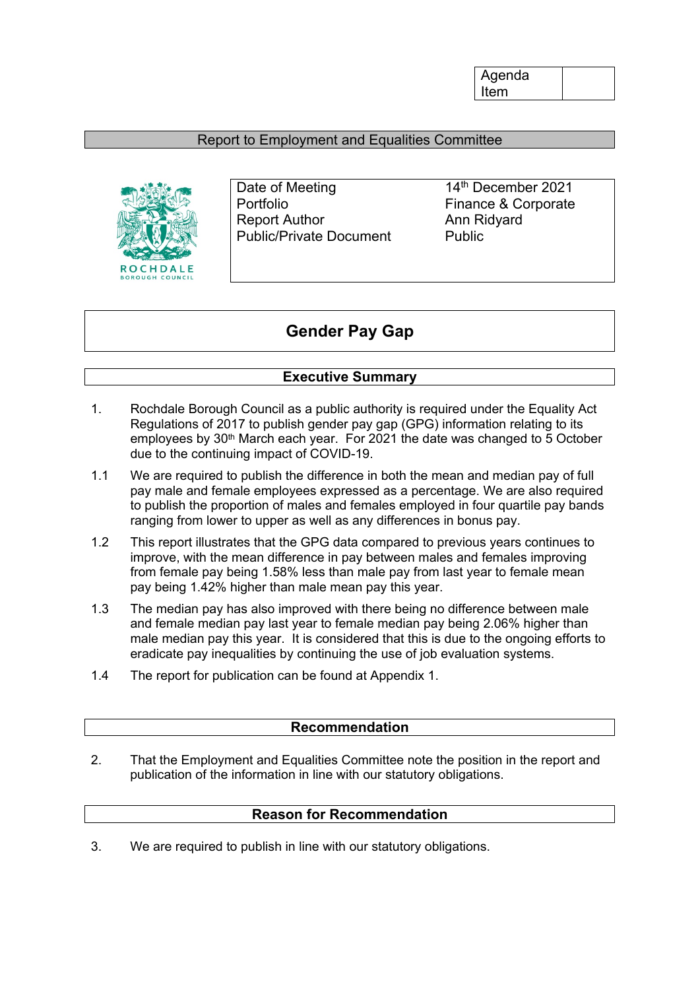Agenda Item

#### Report to Employment and Equalities Committee



Date of Meeting 14th December 2021 Portfolio Finance & Corporate Report Author **Ann Ridyard** Public/Private Document Public

## **Gender Pay Gap**

#### **Executive Summary**

- 1. Rochdale Borough Council as a public authority is required under the Equality Act Regulations of 2017 to publish gender pay gap (GPG) information relating to its employees by 30<sup>th</sup> March each year. For 2021 the date was changed to 5 October due to the continuing impact of COVID-19.
- 1.1 We are required to publish the difference in both the mean and median pay of full pay male and female employees expressed as a percentage. We are also required to publish the proportion of males and females employed in four quartile pay bands ranging from lower to upper as well as any differences in bonus pay.
- 1.2 This report illustrates that the GPG data compared to previous years continues to improve, with the mean difference in pay between males and females improving from female pay being 1.58% less than male pay from last year to female mean pay being 1.42% higher than male mean pay this year.
- 1.3 The median pay has also improved with there being no difference between male and female median pay last year to female median pay being 2.06% higher than male median pay this year. It is considered that this is due to the ongoing efforts to eradicate pay inequalities by continuing the use of job evaluation systems.
- 1.4 The report for publication can be found at Appendix 1.

#### **Recommendation**

2. That the Employment and Equalities Committee note the position in the report and publication of the information in line with our statutory obligations.

#### **Reason for Recommendation**

3. We are required to publish in line with our statutory obligations.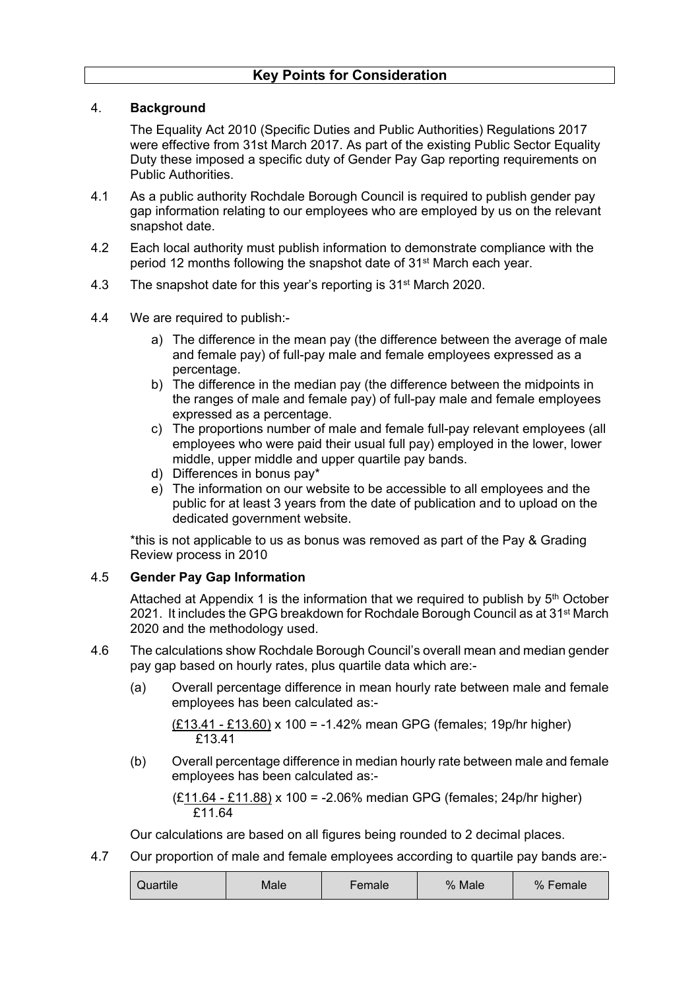#### 4. **Background**

The Equality Act 2010 (Specific Duties and Public Authorities) Regulations 2017 were effective from 31st March 2017. As part of the existing Public Sector Equality Duty these imposed a specific duty of Gender Pay Gap reporting requirements on Public Authorities.

- 4.1 As a public authority Rochdale Borough Council is required to publish gender pay gap information relating to our employees who are employed by us on the relevant snapshot date.
- 4.2 Each local authority must publish information to demonstrate compliance with the period 12 months following the snapshot date of 31st March each year.
- 4.3 The snapshot date for this year's reporting is 31<sup>st</sup> March 2020.
- 4.4 We are required to publish:
	- a) The difference in the mean pay (the difference between the average of male and female pay) of full-pay male and female employees expressed as a percentage.
	- b) The difference in the median pay (the difference between the midpoints in the ranges of male and female pay) of full-pay male and female employees expressed as a percentage.
	- c) The proportions number of male and female full-pay relevant employees (all employees who were paid their usual full pay) employed in the lower, lower middle, upper middle and upper quartile pay bands.
	- d) Differences in bonus pay\*
	- e) The information on our website to be accessible to all employees and the public for at least 3 years from the date of publication and to upload on the dedicated government website.

\*this is not applicable to us as bonus was removed as part of the Pay & Grading Review process in 2010

#### 4.5 **Gender Pay Gap Information**

Attached at Appendix 1 is the information that we required to publish by 5<sup>th</sup> October 2021. It includes the GPG breakdown for Rochdale Borough Council as at 31st March 2020 and the methodology used.

- 4.6 The calculations show Rochdale Borough Council's overall mean and median gender pay gap based on hourly rates, plus quartile data which are:-
	- (a) Overall percentage difference in mean hourly rate between male and female employees has been calculated as:-

(£13.41 - £13.60) x 100 = -1.42% mean GPG (females; 19p/hr higher) £13.41

(b) Overall percentage difference in median hourly rate between male and female employees has been calculated as:-

(£11.64 - £11.88) x 100 = -2.06% median GPG (females; 24p/hr higher) £11.64

Our calculations are based on all figures being rounded to 2 decimal places.

4.7 Our proportion of male and female employees according to quartile pay bands are:-

|  | Quartile | Male | Female | % Male | % Female |
|--|----------|------|--------|--------|----------|
|--|----------|------|--------|--------|----------|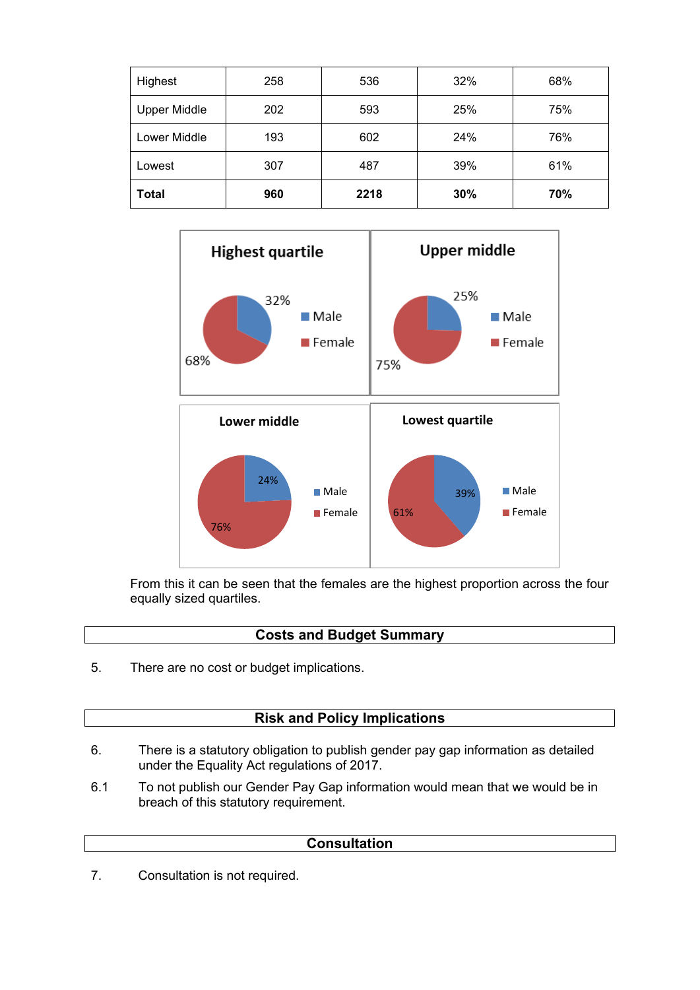| Highest             | 258 | 536  | 32% | 68% |
|---------------------|-----|------|-----|-----|
| <b>Upper Middle</b> | 202 | 593  | 25% | 75% |
| Lower Middle        | 193 | 602  | 24% | 76% |
| Lowest              | 307 | 487  | 39% | 61% |
| <b>Total</b>        | 960 | 2218 | 30% | 70% |



From this it can be seen that the females are the highest proportion across the four equally sized quartiles.

#### **Costs and Budget Summary**

5. There are no cost or budget implications.

## **Risk and Policy Implications**

- 6. There is a statutory obligation to publish gender pay gap information as detailed under the Equality Act regulations of 2017.
- 6.1 To not publish our Gender Pay Gap information would mean that we would be in breach of this statutory requirement.

#### **Consultation**

7. Consultation is not required.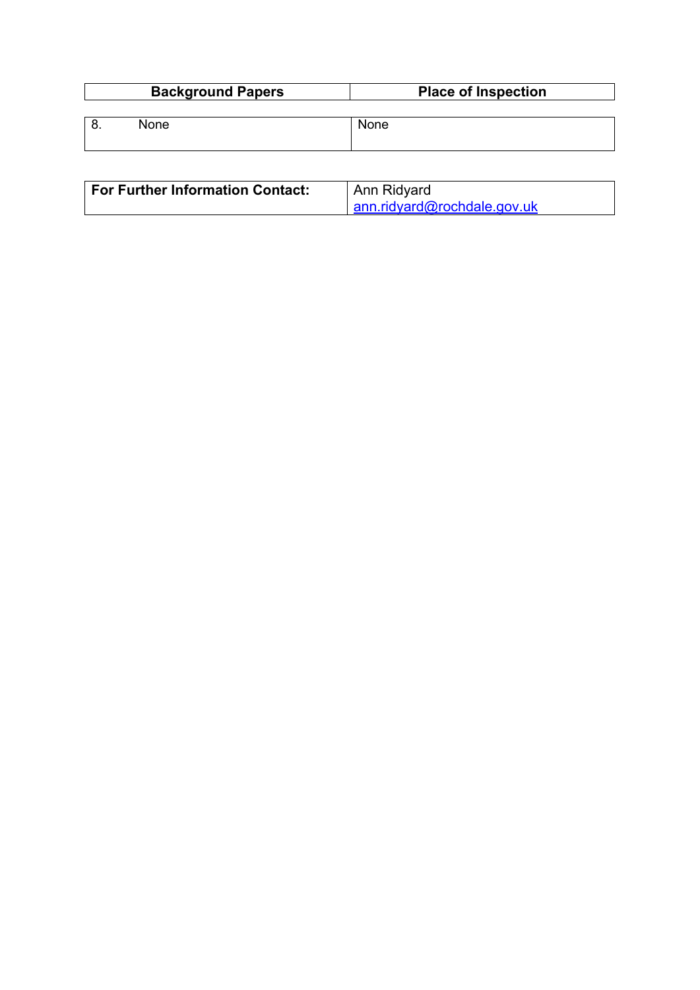| <b>Background Papers</b> |      | <b>Place of Inspection</b> |  |  |
|--------------------------|------|----------------------------|--|--|
|                          |      |                            |  |  |
|                          | None | <b>None</b>                |  |  |
|                          |      |                            |  |  |

| For Further Information Contact: | Ann Ridyard                        |  |
|----------------------------------|------------------------------------|--|
|                                  | $\int$ ann.ridyard@rochdale.gov.uk |  |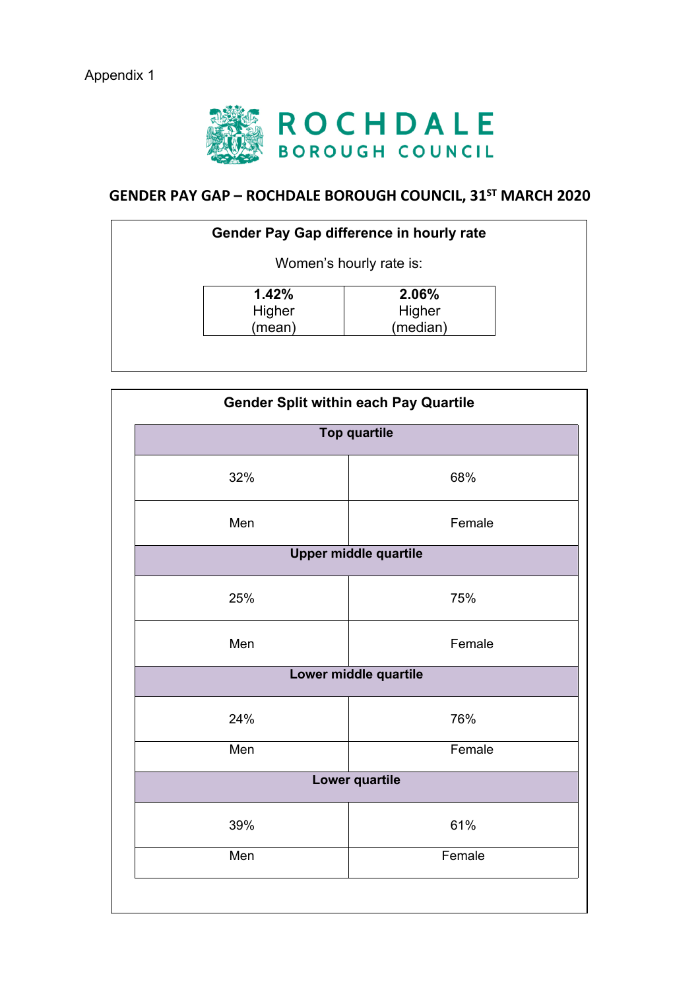

# **GENDER PAY GAP – ROCHDALE BOROUGH COUNCIL, 31ST MARCH 2020**

| <b>Gender Pay Gap difference in hourly rate</b> |          |  |  |
|-------------------------------------------------|----------|--|--|
| Women's hourly rate is:                         |          |  |  |
| 1.42%                                           | 2.06%    |  |  |
| Higher                                          | Higher   |  |  |
| (mean)                                          | (median) |  |  |

| <b>Gender Split within each Pay Quartile</b><br><b>Top quartile</b> |        |  |  |  |
|---------------------------------------------------------------------|--------|--|--|--|
| 32%                                                                 | 68%    |  |  |  |
| Men                                                                 | Female |  |  |  |
| <b>Upper middle quartile</b>                                        |        |  |  |  |
| 25%                                                                 | 75%    |  |  |  |
| Men                                                                 | Female |  |  |  |
| Lower middle quartile                                               |        |  |  |  |
| 24%                                                                 | 76%    |  |  |  |
| Men                                                                 | Female |  |  |  |
| <b>Lower quartile</b>                                               |        |  |  |  |
| 39%                                                                 | 61%    |  |  |  |
| Men                                                                 | Female |  |  |  |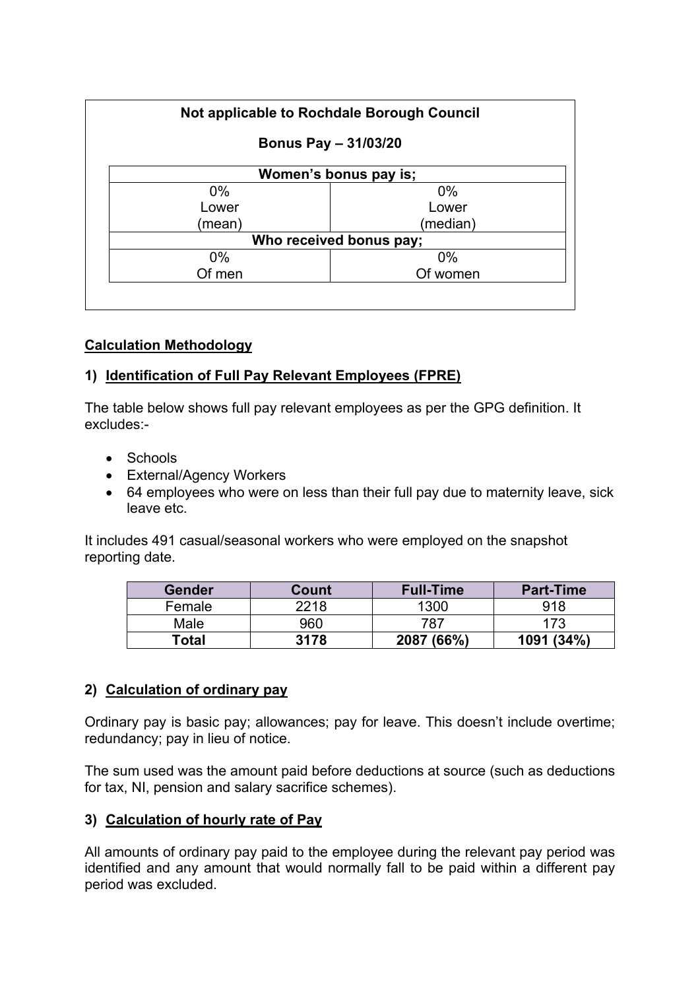| Not applicable to Rochdale Borough Council<br><b>Bonus Pay - 31/03/20</b> |          |  |  |
|---------------------------------------------------------------------------|----------|--|--|
|                                                                           |          |  |  |
| $0\%$                                                                     | $0\%$    |  |  |
| Lower                                                                     | Lower    |  |  |
| (mean)                                                                    | (median) |  |  |
| Who received bonus pay;                                                   |          |  |  |
| $0\%$                                                                     | $0\%$    |  |  |
| Of men                                                                    | Of women |  |  |

## **Calculation Methodology**

## **1) Identification of Full Pay Relevant Employees (FPRE)**

The table below shows full pay relevant employees as per the GPG definition. It excludes:-

- Schools
- External/Agency Workers
- 64 employees who were on less than their full pay due to maternity leave, sick leave etc.

It includes 491 casual/seasonal workers who were employed on the snapshot reporting date.

| Gender | Count | <b>Full-Time</b> | <b>Part-Time</b> |
|--------|-------|------------------|------------------|
| Female | 2218  | 1300             | 918              |
| Male   | 960   | 787              | 173              |
| Total  | 3178  | 2087 (66%)       | 1091 (34%)       |

## **2) Calculation of ordinary pay**

Ordinary pay is basic pay; allowances; pay for leave. This doesn't include overtime; redundancy; pay in lieu of notice.

The sum used was the amount paid before deductions at source (such as deductions for tax, NI, pension and salary sacrifice schemes).

## **3) Calculation of hourly rate of Pay**

All amounts of ordinary pay paid to the employee during the relevant pay period was identified and any amount that would normally fall to be paid within a different pay period was excluded.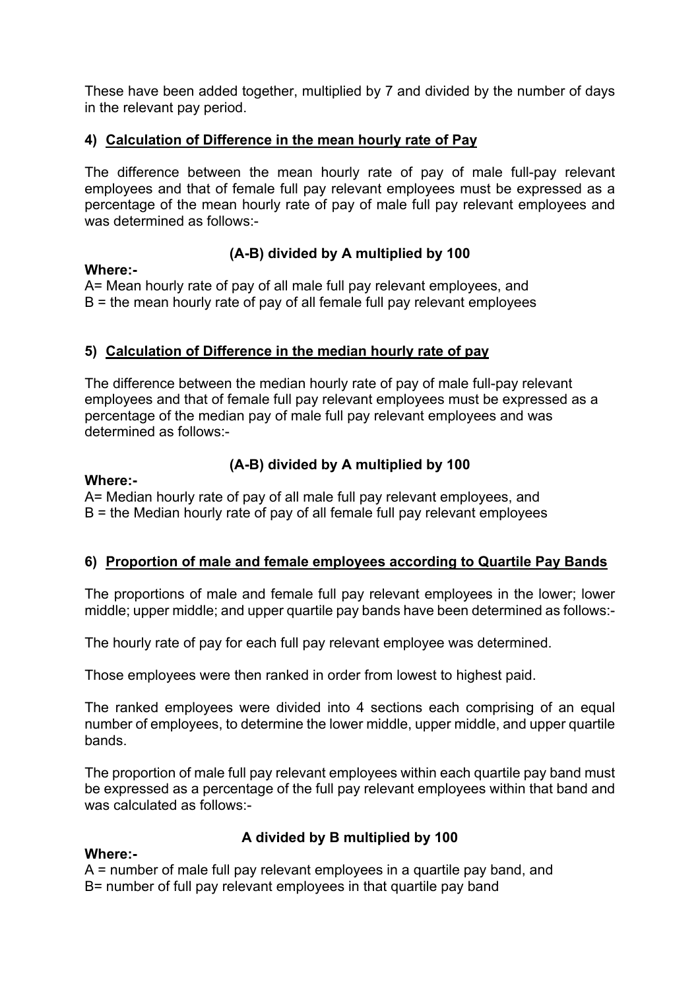These have been added together, multiplied by 7 and divided by the number of days in the relevant pay period.

## **4) Calculation of Difference in the mean hourly rate of Pay**

The difference between the mean hourly rate of pay of male full-pay relevant employees and that of female full pay relevant employees must be expressed as a percentage of the mean hourly rate of pay of male full pay relevant employees and was determined as follows:-

#### **Where:-**

## **(A-B) divided by A multiplied by 100**

A= Mean hourly rate of pay of all male full pay relevant employees, and  $B =$  the mean hourly rate of pay of all female full pay relevant employees

## **5) Calculation of Difference in the median hourly rate of pay**

The difference between the median hourly rate of pay of male full-pay relevant employees and that of female full pay relevant employees must be expressed as a percentage of the median pay of male full pay relevant employees and was determined as follows:-

#### **Where:-**

**Where:-**

## **(A-B) divided by A multiplied by 100**

A= Median hourly rate of pay of all male full pay relevant employees, and  $B =$  the Median hourly rate of pay of all female full pay relevant employees

## **6) Proportion of male and female employees according to Quartile Pay Bands**

The proportions of male and female full pay relevant employees in the lower; lower middle; upper middle; and upper quartile pay bands have been determined as follows:-

The hourly rate of pay for each full pay relevant employee was determined.

Those employees were then ranked in order from lowest to highest paid.

The ranked employees were divided into 4 sections each comprising of an equal number of employees, to determine the lower middle, upper middle, and upper quartile bands.

The proportion of male full pay relevant employees within each quartile pay band must be expressed as a percentage of the full pay relevant employees within that band and was calculated as follows:-

## **A divided by B multiplied by 100**

#### A = number of male full pay relevant employees in a quartile pay band, and B= number of full pay relevant employees in that quartile pay band